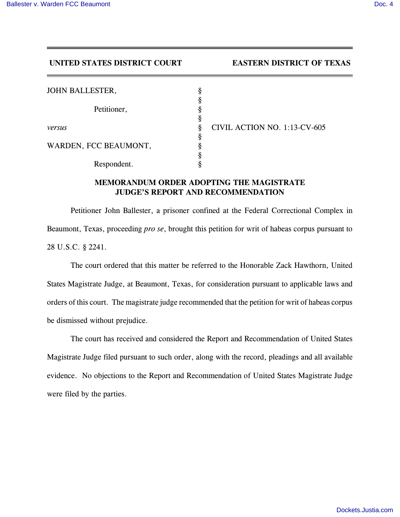**UNITED STATES DISTRICT COURT EASTERN DISTRICT OF TEXAS**

| <b>JOHN BALLESTER,</b> | Ò      |                              |
|------------------------|--------|------------------------------|
| Petitioner,            |        |                              |
|                        | O<br>А |                              |
| versus                 |        | CIVIL ACTION NO. 1:13-CV-605 |
|                        |        |                              |
| WARDEN, FCC BEAUMONT,  |        |                              |
|                        |        |                              |
| Respondent.            |        |                              |

## **MEMORANDUM ORDER ADOPTING THE MAGISTRATE JUDGE'S REPORT AND RECOMMENDATION**

Petitioner John Ballester, a prisoner confined at the Federal Correctional Complex in Beaumont, Texas, proceeding *pro se*, brought this petition for writ of habeas corpus pursuant to 28 U.S.C. § 2241.

The court ordered that this matter be referred to the Honorable Zack Hawthorn, United States Magistrate Judge, at Beaumont, Texas, for consideration pursuant to applicable laws and orders of this court. The magistrate judge recommended that the petition for writ of habeas corpus be dismissed without prejudice.

The court has received and considered the Report and Recommendation of United States Magistrate Judge filed pursuant to such order, along with the record, pleadings and all available evidence. No objections to the Report and Recommendation of United States Magistrate Judge were filed by the parties.